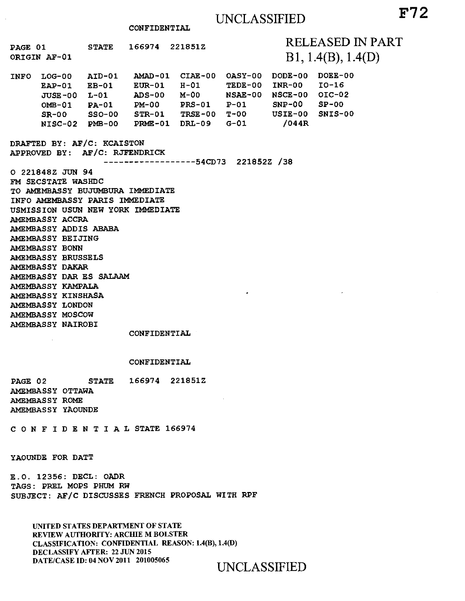CONFIDENTIAL

PAGE 01 STATE 166974 221851Z RELEASED IN PART ORIGIN AF-01 INFO LOG-00 AID-01 AMAD-01 CIAE-00 OASY-00 Bl, 1.4(B), 1.4(D) DODE-00 DOEE-00 EAP-01 EB-01 EUR-01 H-01 TEDE-00 INR-00 10-16 JUSE-00 L-01 ADS-00 M-00 NSAE-00 NSCE-00 01C-02 OMB-01 PA-01 PM-00 PRS-01 P-01 SNP-00 SP-00 SR-00 SSO-00 STR-01 TRSE-00 T-00 USIE-00 SNIS-00 NISC-02 PMB-00 PRME-01 DRL-09 G-01 /044R DRAFTED BY: AF/C: KCAISTON APPROVED BY: AF/C: RJFENDRICK ----**----**---------54CD73 221852Z /38 0 221848Z JUN 94 FM SECSTATE WASHDC TO AMEMBASSY BUJUMBURA IMMEDIATE INFO AMEMBASSY PARIS IMMEDIATE USMISSION USUN NEW YORK IMMEDIATE AMEMBASSY ACCRA AMEMBASSY ADDIS ABABA AMEMBASSY BEIJING AMEMBASSY BONN AMEMBASSY BRUSSELS AMEMBASSY DAKAR AMEMBASSY DAR ES SALAAM AMEMBASSY KAMPALA AMEMBASSY KINSHASA AMEMBASSY LONDON AMEMBASSY MOSCOW

CONFIDENTIAL

#### CONFIDENTIAL

PAGE 02 STATE 166974 221851Z AMEMBASSY OTTAWA AMEMBASSY ROME AMEMBASSY YAOUNDE

CONFIDENTIALSTATE 166974

YAOUNDE FOR DATT

AMEMBASSY NAIROBI

E.O. 12356: DECL: OADR TAGS: PREL MOPS PHUM RW SUBJECT: AF/C DISCUSSES FRENCH PROPOSAL WITH RPF

UNITED STATES DEPARTMENT OF STATE REVIEW AUTHORITY: ARCHIE M BOLSTER CLASSIFICATION: CONFIDENTIAL REASON: 1.4(B), 1.4(D) DECLASSIFY AFTER: 22 JUN 2015

UNCLASSIFIED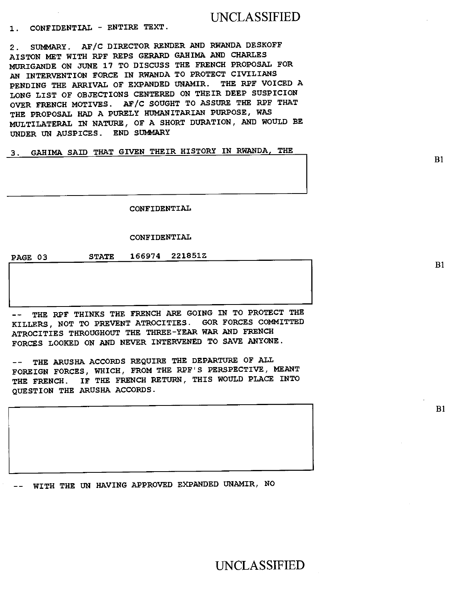# UNCLASSIFIED

**1. CONFIDENTIAL - ENTIRE TEXT.** 

**2. SUMMARY. AF/C DIRECTOR RENDER AND RWANDA DESKOFF AISTON MET WITH RPF REPS GERARD GAHIMA AND CHARLES MURIGANDE ON JUNE 17 TO DISCUSS THE FRENCH PROPOSAL FOR AN INTERVENTION FORCE IN RWANDA TO PROTECT CIVILIANS PENDING THE ARRIVAL OF EXPANDED UNAMIR. THE RPF VOICED A LONG LIST OF OBJECTIONS CENTERED ON THEIR DEEP SUSPICION OVER FRENCH MOTIVES. AF/C SOUGHT TO ASSURE THE RPF THAT THE PROPOSAL HAD A PURELY HUMANITARIAN PURPOSE, WAS MULTILATERAL IN NATURE, OF A SHORT DURATION, AND WOULD BE UNDER UN AUSPICES. END SUMMARY** 

**3. GAMMA SAID THAT GIVEN THEIR HISTORY IN RWANDA, THE** 

**CONFIDENTIAL** 

## **CONFIDENTIAL**

**PAGE 03 STATE 166974 221851Z** 

THE RPF THINKS THE FRENCH ARE GOING IN TO PROTECT THE **KILLERS, NOT TO PREVENT ATROCITIES. GOR FORCES COMMITTED ATROCITIES THROUGHOUT THE THREE-YEAR WAR AND FRENCH FORCES LOOKED ON AND NEVER INTERVENED TO SAVE ANYONE.** 

**-- THE ARUSHA ACCORDS REQUIRE THE DEPARTURE OF ALL FOREIGN FORCES, WHICH, FROM THE RPF'S PERSPECTIVE, MEANT THE FRENCH. IF THE FRENCH RETURN, THIS WOULD PLACE INTO QUESTION THE ARUSHA ACCORDS.** 

**-- WITH THE UN HAVING APPROVED EXPANDED UNAMIR, NO** 

UNCLASSIFIED

 $B1$ 

B1

 $B1$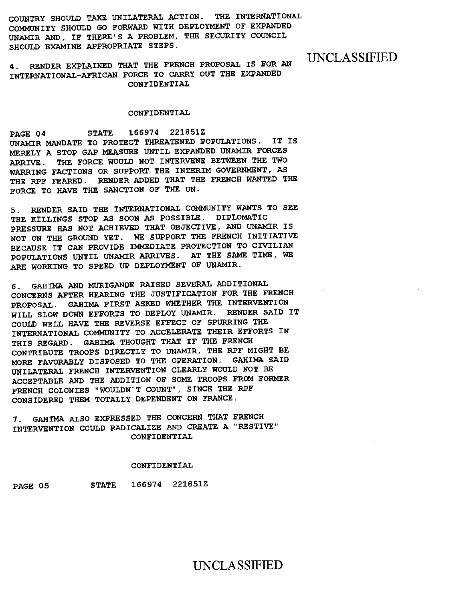COUNTRY SHOULD TAKE UNILATERAL ACTION. THE INTERNATIONAL COMMUNITY SHOULD GO FORWARD WITH DEPLOYMENT OF EXPANDED UNAMIR AND, IF THERE'S A PROBLEM, THE SECURITY COUNCIL SHOULD EXAMINE APPROPRIATE STEPS.

4. RENDER EXPLAINED THAT THE FRENCH PROPOSAL IS FOR AN INTERNATIONAL-AFRICAN FORCE TO CARRY OUT THE EXPANDED CONFIDENTIAL

UNCLASSIFIED

## CONFIDENTIAL

PAGE 04 STATE 166974 221851Z UNAMIR MANDATE TO PROTECT THREATENED POPULATIONS. IT IS MERELY A STOP GAP MEASURE UNTIL EXPANDED UNAMIR FORCES ARRIVE. THE FORCE WOULD NOT INTERVENE BETWEEN THE TWO WARRING FACTIONS OR SUPPORT THE INTERIM GOVERNMENT, AS THE RPF FEARED. RENDER ADDED THAT THE FRENCH WANTED THE FORCE TO HAVE THE SANCTION OF THE UN.

5. RENDER SAID THE INTERNATIONAL COMMUNITY WANTS TO SEE THE KILLINGS STOP AS SOON AS POSSIBLE. DIPLOMATIC PRESSURE HAS NOT ACHIEVED THAT OBJECTIVE, AND UNAMIR IS NOT ON THE GROUND YET. WE SUPPORT THE FRENCH INITIATIVE BECAUSE IT CAN PROVIDE IMMEDIATE PROTECTION TO CIVILIAN POPULATIONS UNTIL UNAMIR ARRIVES. AT THE SAME TIME, WE ARE WORKING TO SPEED UP DEPLOYMENT OF UNAMIR.

6. GAHIMA AND MURIGANDE RAISED SEVERAL ADDITIONAL CONCERNS AFTER HEARING THE JUSTIFICATION FOR THE FRENCH PROPOSAL. GAHIMA FIRST ASKED WHETHER THE INTERVENTION WILL SLOW DOWN EFFORTS TO DEPLOY UNAMIR. RENDER SAID IT COULD WELL HAVE THE REVERSE EFFECT OF SPURRING THE INTERNATIONAL COMMUNITY TO ACCELERATE THEIR EFFORTS IN THIS REGARD. GAHIMA THOUGHT THAT IF THE FRENCH CONTRIBUTE TROOPS DIRECTLY TO UNAMIR, THE RPF MIGHT BE MORE FAVORABLY DISPOSED TO THE OPERATION. GAHIMA SAID UNILATERAL FRENCH INTERVENTION CLEARLY WOULD NOT BE ACCEPTABLE AND THE ADDITION OF SOME TROOPS FROM FORMER FRENCH COLONIES "WOULDN'T COUNT", SINCE THE RPF CONSIDERED THEM TOTALLY DEPENDENT ON FRANCE.

7. GAHIMA ALSO EXPRESSED THE CONCERN THAT FRENCH INTERVENTION COULD RADICALIZE AND CREATE A "RESTIVE" CONFIDENTIAL

## CONFIDENTIAL

PAGE 05 STATE 166974 221851Z

## UNCLASSIFIED